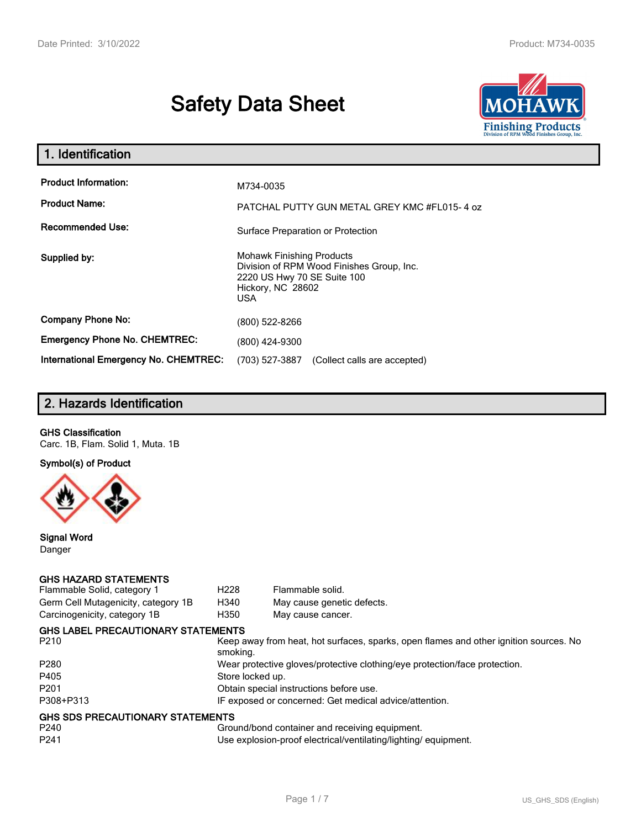# **Safety Data Sheet**



| 1. Identification                                   |                                                                                                                                           |
|-----------------------------------------------------|-------------------------------------------------------------------------------------------------------------------------------------------|
| <b>Product Information:</b><br><b>Product Name:</b> | M734-0035<br>PATCHAL PUTTY GUN METAL GREY KMC #FL015-4 oz                                                                                 |
| <b>Recommended Use:</b>                             | Surface Preparation or Protection                                                                                                         |
| Supplied by:                                        | <b>Mohawk Finishing Products</b><br>Division of RPM Wood Finishes Group, Inc.<br>2220 US Hwy 70 SE Suite 100<br>Hickory, NC 28602<br>USA. |
| <b>Company Phone No:</b>                            | (800) 522-8266                                                                                                                            |
| <b>Emergency Phone No. CHEMTREC:</b>                | (800) 424-9300                                                                                                                            |
| <b>International Emergency No. CHEMTREC:</b>        | (703) 527-3887<br>(Collect calls are accepted)                                                                                            |

# **2. Hazards Identification**

## **GHS Classification**

Carc. 1B, Flam. Solid 1, Muta. 1B

**Symbol(s) of Product**



**Signal Word** Danger

#### **GHS HAZARD STATEMENTS**

| Flammable Solid, category 1         | H <sub>228</sub>                                                           | Flammable solid.                                                                      |  |
|-------------------------------------|----------------------------------------------------------------------------|---------------------------------------------------------------------------------------|--|
| Germ Cell Mutagenicity, category 1B | H340                                                                       | May cause genetic defects.                                                            |  |
| Carcinogenicity, category 1B        | H350                                                                       | May cause cancer.                                                                     |  |
| GHS LABEL PRECAUTIONARY STATEMENTS  |                                                                            |                                                                                       |  |
| P210                                | smoking.                                                                   | Keep away from heat, hot surfaces, sparks, open flames and other ignition sources. No |  |
| P280                                | Wear protective gloves/protective clothing/eye protection/face protection. |                                                                                       |  |
| P405                                | Store locked up.                                                           |                                                                                       |  |
| P201                                | Obtain special instructions before use.                                    |                                                                                       |  |
| P308+P313                           |                                                                            | IF exposed or concerned: Get medical advice/attention.                                |  |
| GHS SDS PRECAUTIONARY STATEMENTS    |                                                                            |                                                                                       |  |
| P240                                |                                                                            | Ground/bond container and receiving equipment.                                        |  |
| P241                                |                                                                            | Use explosion-proof electrical/ventilating/lighting/equipment.                        |  |
|                                     |                                                                            |                                                                                       |  |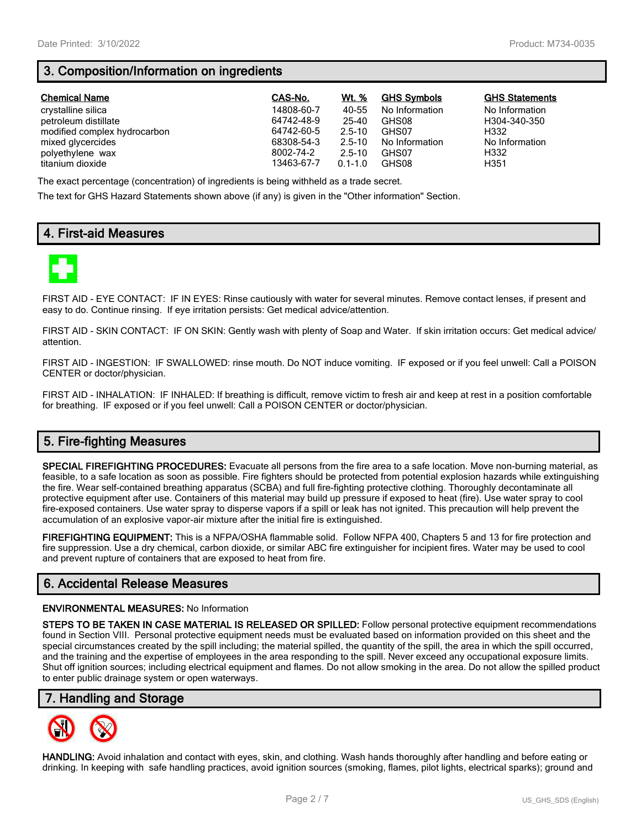# **3. Composition/Information on ingredients**

| <b>Chemical Name</b>         | CAS-No.    | Wt. %       | <b>GHS Symbols</b> | <b>GHS Statements</b> |
|------------------------------|------------|-------------|--------------------|-----------------------|
| crystalline silica           | 14808-60-7 | 40-55       | No Information     | No Information        |
| petroleum distillate         | 64742-48-9 | 25-40       | GHS08              | H304-340-350          |
| modified complex hydrocarbon | 64742-60-5 | $2.5 - 10$  | GHS07              | H332                  |
| mixed glycercides            | 68308-54-3 | $2.5 - 10$  | No Information     | No Information        |
| polyethylene wax             | 8002-74-2  | $2.5 - 10$  | GHS07              | H332                  |
| titanium dioxide             | 13463-67-7 | $0.1 - 1.0$ | GHS08              | H351                  |

The exact percentage (concentration) of ingredients is being withheld as a trade secret.

The text for GHS Hazard Statements shown above (if any) is given in the "Other information" Section.

# **4. First-aid Measures**



FIRST AID - EYE CONTACT: IF IN EYES: Rinse cautiously with water for several minutes. Remove contact lenses, if present and easy to do. Continue rinsing. If eye irritation persists: Get medical advice/attention.

FIRST AID - SKIN CONTACT: IF ON SKIN: Gently wash with plenty of Soap and Water. If skin irritation occurs: Get medical advice/ attention.

FIRST AID - INGESTION: IF SWALLOWED: rinse mouth. Do NOT induce vomiting. IF exposed or if you feel unwell: Call a POISON CENTER or doctor/physician.

FIRST AID - INHALATION: IF INHALED: If breathing is difficult, remove victim to fresh air and keep at rest in a position comfortable for breathing. IF exposed or if you feel unwell: Call a POISON CENTER or doctor/physician.

# **5. Fire-fighting Measures**

**SPECIAL FIREFIGHTING PROCEDURES:** Evacuate all persons from the fire area to a safe location. Move non-burning material, as feasible, to a safe location as soon as possible. Fire fighters should be protected from potential explosion hazards while extinguishing the fire. Wear self-contained breathing apparatus (SCBA) and full fire-fighting protective clothing. Thoroughly decontaminate all protective equipment after use. Containers of this material may build up pressure if exposed to heat (fire). Use water spray to cool fire-exposed containers. Use water spray to disperse vapors if a spill or leak has not ignited. This precaution will help prevent the accumulation of an explosive vapor-air mixture after the initial fire is extinguished.

**FIREFIGHTING EQUIPMENT:** This is a NFPA/OSHA flammable solid. Follow NFPA 400, Chapters 5 and 13 for fire protection and fire suppression. Use a dry chemical, carbon dioxide, or similar ABC fire extinguisher for incipient fires. Water may be used to cool and prevent rupture of containers that are exposed to heat from fire.

## **6. Accidental Release Measures**

#### **ENVIRONMENTAL MEASURES:** No Information

**STEPS TO BE TAKEN IN CASE MATERIAL IS RELEASED OR SPILLED:** Follow personal protective equipment recommendations found in Section VIII. Personal protective equipment needs must be evaluated based on information provided on this sheet and the special circumstances created by the spill including; the material spilled, the quantity of the spill, the area in which the spill occurred, and the training and the expertise of employees in the area responding to the spill. Never exceed any occupational exposure limits. Shut off ignition sources; including electrical equipment and flames. Do not allow smoking in the area. Do not allow the spilled product to enter public drainage system or open waterways.

## **7. Handling and Storage**



**HANDLING:** Avoid inhalation and contact with eyes, skin, and clothing. Wash hands thoroughly after handling and before eating or drinking. In keeping with safe handling practices, avoid ignition sources (smoking, flames, pilot lights, electrical sparks); ground and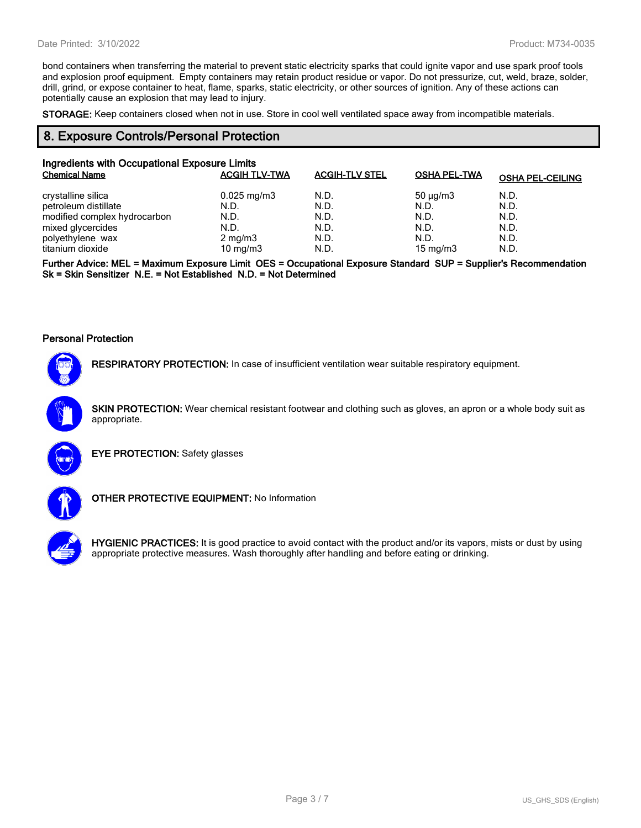bond containers when transferring the material to prevent static electricity sparks that could ignite vapor and use spark proof tools and explosion proof equipment. Empty containers may retain product residue or vapor. Do not pressurize, cut, weld, braze, solder, drill, grind, or expose container to heat, flame, sparks, static electricity, or other sources of ignition. Any of these actions can potentially cause an explosion that may lead to injury.

**STORAGE:** Keep containers closed when not in use. Store in cool well ventilated space away from incompatible materials.

## **8. Exposure Controls/Personal Protection**

| Ingredients with Occupational Exposure Limits |                         |                       |                     |                         |
|-----------------------------------------------|-------------------------|-----------------------|---------------------|-------------------------|
| <b>Chemical Name</b>                          | <b>ACGIH TLV-TWA</b>    | <b>ACGIH-TLV STEL</b> | <b>OSHA PEL-TWA</b> | <b>OSHA PEL-CEILING</b> |
| crystalline silica                            | $0.025 \,\mathrm{mg/m}$ | N.D.                  | $50 \mu q/m3$       | N.D.                    |
| petroleum distillate                          | N.D.                    | N.D.                  | N.D.                | N.D.                    |
| modified complex hydrocarbon                  | N.D.                    | N.D.                  | N.D.                | N.D.                    |
| mixed glycercides                             | N.D.                    | N.D.                  | N.D.                | N.D.                    |
| polyethylene wax                              | $2 \text{ mg/m}$ 3      | N.D.                  | N.D.                | N.D.                    |
| titanium dioxide                              | 10 mg/m $3$             | N.D.                  | 15 mg/m $3$         | N.D.                    |

**Further Advice: MEL = Maximum Exposure Limit OES = Occupational Exposure Standard SUP = Supplier's Recommendation Sk = Skin Sensitizer N.E. = Not Established N.D. = Not Determined**

#### **Personal Protection**



**RESPIRATORY PROTECTION:** In case of insufficient ventilation wear suitable respiratory equipment.

**SKIN PROTECTION:** Wear chemical resistant footwear and clothing such as gloves, an apron or a whole body suit as appropriate.



**EYE PROTECTION:** Safety glasses



**OTHER PROTECTIVE EQUIPMENT:** No Information



**HYGIENIC PRACTICES:** It is good practice to avoid contact with the product and/or its vapors, mists or dust by using appropriate protective measures. Wash thoroughly after handling and before eating or drinking.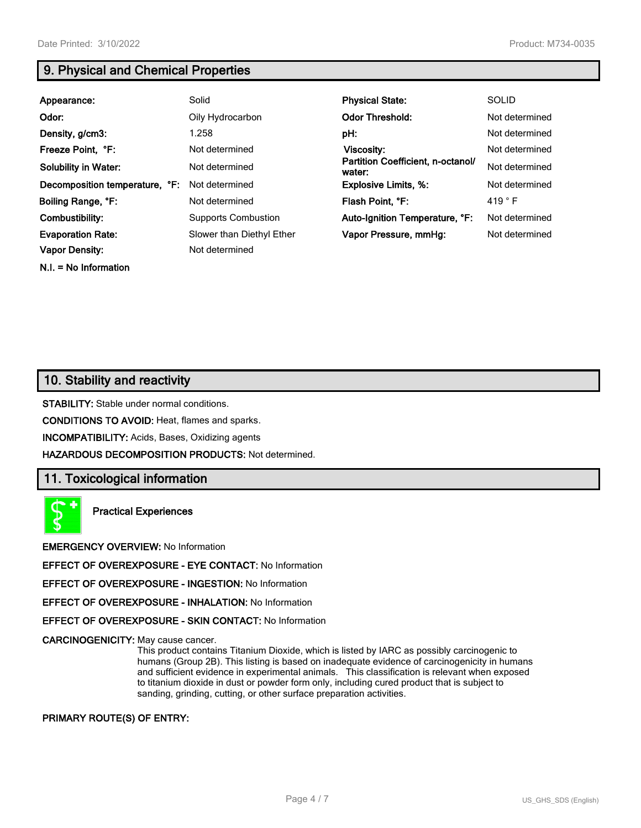**N.I. = No Information**

# **9. Physical and Chemical Properties**

| Appearance:                    | Solid                      | <b>Physical State:</b>                      | <b>SOLID</b>    |
|--------------------------------|----------------------------|---------------------------------------------|-----------------|
| Odor:                          | Oily Hydrocarbon           | <b>Odor Threshold:</b>                      | Not determined  |
| Density, g/cm3:                | 1.258                      | pH:                                         | Not determined  |
| Freeze Point, °F:              | Not determined             | <b>Viscosity:</b>                           | Not determined  |
| <b>Solubility in Water:</b>    | Not determined             | Partition Coefficient, n-octanol/<br>water: | Not determined  |
| Decomposition temperature, °F: | Not determined             | <b>Explosive Limits, %:</b>                 | Not determined  |
| Boiling Range, °F:             | Not determined             | Flash Point, °F:                            | 419 $\degree$ F |
| Combustibility:                | <b>Supports Combustion</b> | Auto-Ignition Temperature, °F:              | Not determined  |
| <b>Evaporation Rate:</b>       | Slower than Diethyl Ether  | Vapor Pressure, mmHq:                       | Not determined  |
| <b>Vapor Density:</b>          | Not determined             |                                             |                 |

# **10. Stability and reactivity**

**STABILITY:** Stable under normal conditions.

**CONDITIONS TO AVOID:** Heat, flames and sparks.

**INCOMPATIBILITY:** Acids, Bases, Oxidizing agents

**HAZARDOUS DECOMPOSITION PRODUCTS:** Not determined.

## **11. Toxicological information**

**Practical Experiences**

**EMERGENCY OVERVIEW:** No Information

**EFFECT OF OVEREXPOSURE - EYE CONTACT:** No Information

**EFFECT OF OVEREXPOSURE - INGESTION:** No Information

**EFFECT OF OVEREXPOSURE - INHALATION:** No Information

**EFFECT OF OVEREXPOSURE - SKIN CONTACT:** No Information

**CARCINOGENICITY:** May cause cancer.

This product contains Titanium Dioxide, which is listed by IARC as possibly carcinogenic to humans (Group 2B). This listing is based on inadequate evidence of carcinogenicity in humans and sufficient evidence in experimental animals. This classification is relevant when exposed to titanium dioxide in dust or powder form only, including cured product that is subject to sanding, grinding, cutting, or other surface preparation activities.

#### **PRIMARY ROUTE(S) OF ENTRY:**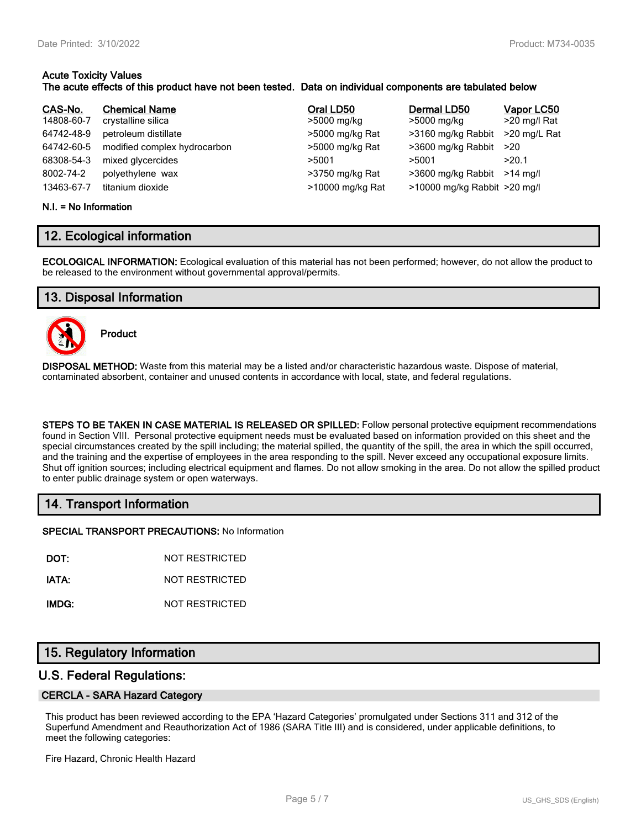# **Acute Toxicity Values**

## **The acute effects of this product have not been tested. Data on individual components are tabulated below**

| CAS-No.    | <b>Chemical Name</b>         | Oral LD50        | Dermal LD50                  | Vapor LC50   |
|------------|------------------------------|------------------|------------------------------|--------------|
| 14808-60-7 | crystalline silica           | >5000 mg/kg      | >5000 mg/kg                  | >20 mg/l Rat |
| 64742-48-9 | petroleum distillate         | >5000 mg/kg Rat  | >3160 mg/kg Rabbit           | >20 mg/L Rat |
| 64742-60-5 | modified complex hydrocarbon | >5000 mg/kg Rat  | >3600 mg/kg Rabbit           | >20          |
| 68308-54-3 | mixed glycercides            | >5001            | >5001                        | >20.1        |
| 8002-74-2  | polyethylene wax             | >3750 mg/kg Rat  | >3600 mg/kg Rabbit           | $>14$ ma/l   |
| 13463-67-7 | titanium dioxide             | >10000 mg/kg Rat | >10000 mg/kg Rabbit >20 mg/l |              |

#### **N.I. = No Information**

## **12. Ecological information**

**ECOLOGICAL INFORMATION:** Ecological evaluation of this material has not been performed; however, do not allow the product to be released to the environment without governmental approval/permits.

## **13. Disposal Information**



**Product**

**DISPOSAL METHOD:** Waste from this material may be a listed and/or characteristic hazardous waste. Dispose of material, contaminated absorbent, container and unused contents in accordance with local, state, and federal regulations.

**STEPS TO BE TAKEN IN CASE MATERIAL IS RELEASED OR SPILLED:** Follow personal protective equipment recommendations found in Section VIII. Personal protective equipment needs must be evaluated based on information provided on this sheet and the special circumstances created by the spill including; the material spilled, the quantity of the spill, the area in which the spill occurred, and the training and the expertise of employees in the area responding to the spill. Never exceed any occupational exposure limits. Shut off ignition sources; including electrical equipment and flames. Do not allow smoking in the area. Do not allow the spilled product to enter public drainage system or open waterways.

## **14. Transport Information**

**SPECIAL TRANSPORT PRECAUTIONS:** No Information

**DOT:** NOT RESTRICTED

**IATA:** NOT RESTRICTED

**IMDG:** NOT RESTRICTED

## **15. Regulatory Information**

## **U.S. Federal Regulations:**

#### **CERCLA - SARA Hazard Category**

This product has been reviewed according to the EPA 'Hazard Categories' promulgated under Sections 311 and 312 of the Superfund Amendment and Reauthorization Act of 1986 (SARA Title III) and is considered, under applicable definitions, to meet the following categories:

Fire Hazard, Chronic Health Hazard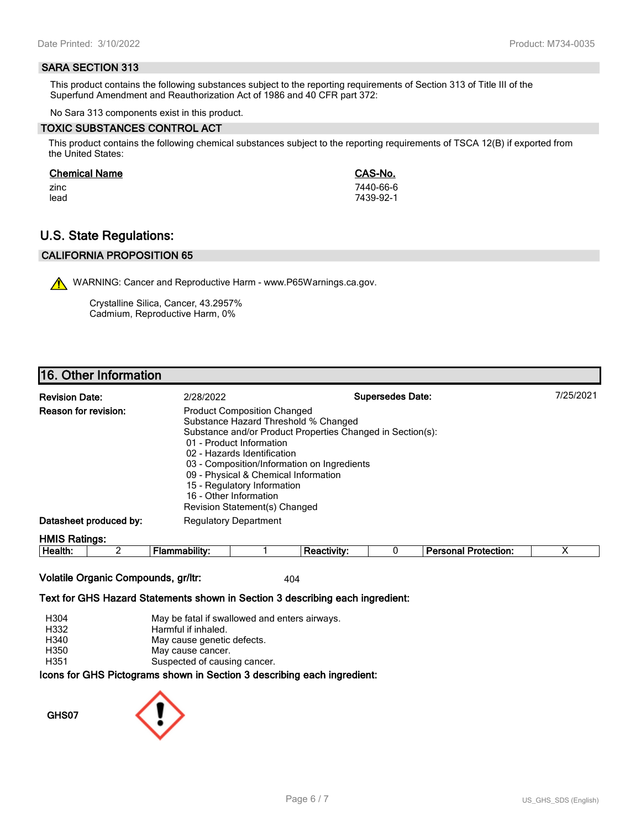#### **SARA SECTION 313**

This product contains the following substances subject to the reporting requirements of Section 313 of Title III of the Superfund Amendment and Reauthorization Act of 1986 and 40 CFR part 372:

No Sara 313 components exist in this product.

#### **TOXIC SUBSTANCES CONTROL ACT**

This product contains the following chemical substances subject to the reporting requirements of TSCA 12(B) if exported from the United States:

#### **Chemical Name CAS-No.**

zinc 7440-66-6 lead 7439-92-1

# **U.S. State Regulations:**

## **CALIFORNIA PROPOSITION 65**

WARNING: Cancer and Reproductive Harm - www.P65Warnings.ca.gov.

Crystalline Silica, Cancer, 43.2957% Cadmium, Reproductive Harm, 0%

## **16. Other Information**

| <b>Revision Date:</b>       | 2/28/2022                                                                                                                                                                                                                                                                                                                                                                            | <b>Supersedes Date:</b> | 7/25/2021 |
|-----------------------------|--------------------------------------------------------------------------------------------------------------------------------------------------------------------------------------------------------------------------------------------------------------------------------------------------------------------------------------------------------------------------------------|-------------------------|-----------|
| <b>Reason for revision:</b> | <b>Product Composition Changed</b><br>Substance Hazard Threshold % Changed<br>Substance and/or Product Properties Changed in Section(s):<br>01 - Product Information<br>02 - Hazards Identification<br>03 - Composition/Information on Ingredients<br>09 - Physical & Chemical Information<br>15 - Regulatory Information<br>16 - Other Information<br>Revision Statement(s) Changed |                         |           |
| Datasheet produced by:      | <b>Regulatory Department</b>                                                                                                                                                                                                                                                                                                                                                         |                         |           |
| <b>HMIS Ratings:</b>        |                                                                                                                                                                                                                                                                                                                                                                                      |                         |           |

| . .<br>-<br>ле<br><br><br> |  |  | - --<br>$ -$<br>.<br>лил |  |
|----------------------------|--|--|--------------------------|--|
|                            |  |  |                          |  |

## **Volatile Organic Compounds, gr/ltr:** 404

#### **Text for GHS Hazard Statements shown in Section 3 describing each ingredient:**

| H304 | May be fatal if swallowed and enters airways.                   |
|------|-----------------------------------------------------------------|
| H332 | Harmful if inhaled.                                             |
| H340 | May cause genetic defects.                                      |
| H350 | May cause cancer.                                               |
| H351 | Suspected of causing cancer.                                    |
|      | cons for CHS Dictograms shown in Section 3 describing each ingr |

# **Icons for GHS Pictograms shown in Section 3 describing each ingredient:**

**GHS07**